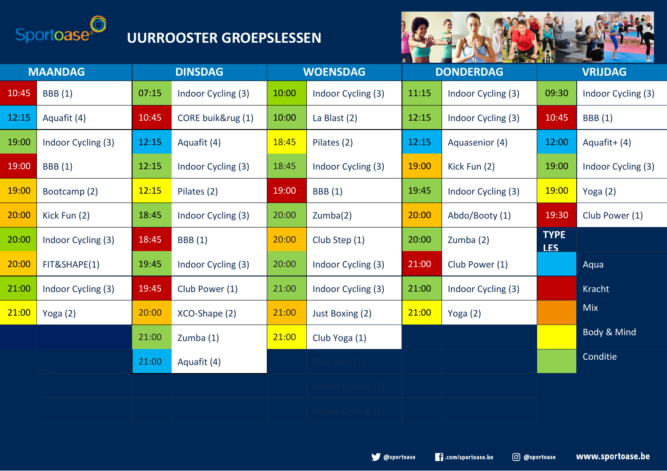

## **UURROOSTER GROEPSLESSEN**



|       | <b>MAANDAG</b>     |       | <b>DINSDAG</b>     |       | <b>WOENSDAG</b>    |       | <b>DONDERDAG</b>   |                     | <b>VRIJDAG</b>     |
|-------|--------------------|-------|--------------------|-------|--------------------|-------|--------------------|---------------------|--------------------|
| 10:45 | <b>BBB</b> (1)     | 07:15 | Indoor Cycling (3) | 10:00 | Indoor Cycling (3) | 11:15 | Indoor Cycling (3) | 09:30               | Indoor Cycling (3) |
| 12:15 | Aquafit (4)        | 10:45 | CORE buik&rug (1)  | 10:00 | La Blast (2)       | 12:15 | Indoor Cycling (3) | 10:45               | <b>BBB</b> (1)     |
| 19:00 | Indoor Cycling (3) | 12:15 | Aquafit (4)        | 18:45 | Pilates (2)        | 12:15 | Aquasenior (4)     | 12:00               | Aquafit+ (4)       |
| 19:00 | <b>BBB</b> (1)     | 12:15 | Indoor Cycling (3) | 18:45 | Indoor Cycling (3) | 19:00 | Kick Fun (2)       | 19:00               | Indoor Cycling (3) |
| 19:00 | Bootcamp (2)       | 12:15 | Pilates (2)        | 19:00 | <b>BBB</b> (1)     | 19:45 | Indoor Cycling (3) | 19:00               | Yoga $(2)$         |
| 20:00 | Kick Fun (2)       | 18:45 | Indoor Cycling (3) | 20:00 | Zumba(2)           | 20:00 | Abdo/Booty (1)     | 19:30               | Club Power (1)     |
| 20:00 | Indoor Cycling (3) | 18:45 | <b>BBB</b> (1)     | 20:00 | Club Step (1)      | 20:00 | Zumba (2)          | <b>TYPE</b><br>LES. |                    |
| 20:00 | FIT&SHAPE(1)       | 19:45 | Indoor Cycling (3) | 20:00 | Indoor Cycling (3) | 21:00 | Club Power (1)     |                     | Aqua               |
| 21:00 | Indoor Cycling (3) | 19:45 | Club Power (1)     | 21:00 | Indoor Cycling (3) | 21:00 | Indoor Cycling (3) |                     | Kracht             |
| 21:00 | Yoga (2)           | 20:00 | XCO-Shape (2)      | 21:00 | Just Boxing (2)    | 21:00 | Yoga $(2)$         |                     | <b>Mix</b>         |
|       |                    | 21:00 | Zumba (1)          | 21:00 | Club Yoga (1)      |       |                    |                     | Body & Mind        |
|       |                    | 21:00 | Aquafit (4)        |       |                    |       |                    |                     | Conditie           |
|       |                    |       |                    |       |                    |       |                    |                     |                    |
|       |                    |       |                    |       |                    |       |                    |                     |                    |

.com/sportoase.be O @sportoase www.sportoase.be